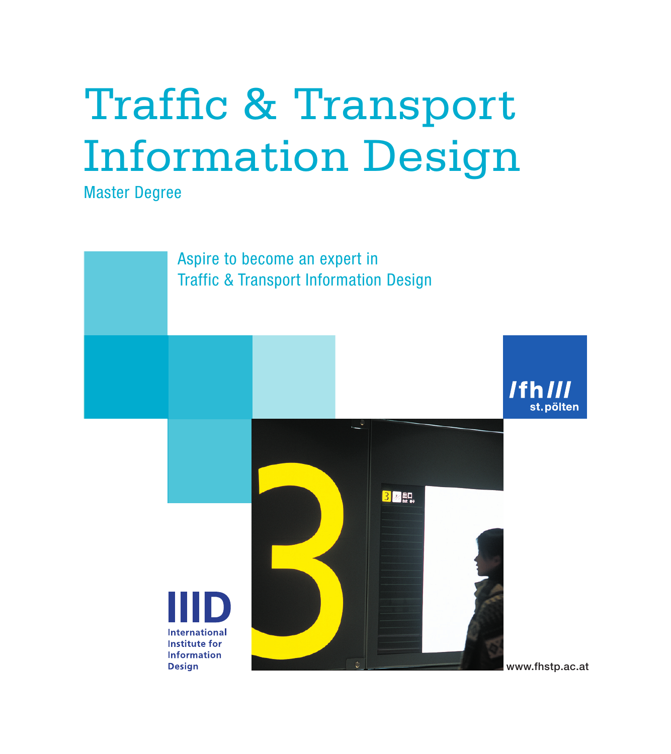# Traffic & Transport Information Design

Master Degree

Aspire to become an expert in Traffic & Transport Information Design

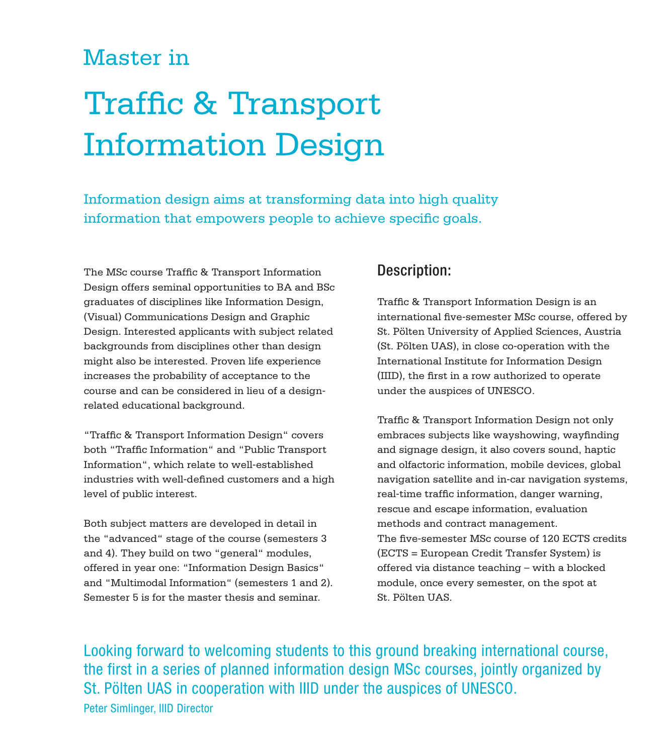## Master in

## Traffic & Transport Information Design

Information design aims at transforming data into high quality information that empowers people to achieve specific goals.

The MSc course Traffic & Transport Information Design offers seminal opportunities to BA and BSc graduates of disciplines like Information Design, (Visual) Communications Design and Graphic Design. Interested applicants with subject related backgrounds from disciplines other than design might also be interested. Proven life experience increases the probability of acceptance to the course and can be considered in lieu of a designrelated educational background.

"Traffic & Transport Information Design" covers both "Traffic Information" and "Public Transport Information", which relate to well-established industries with well-defined customers and a high level of public interest.

Both subject matters are developed in detail in the "advanced" stage of the course (semesters 3 and 4). They build on two "general" modules, offered in year one: "Information Design Basics" and "Multimodal Information" (semesters 1 and 2). Semester 5 is for the master thesis and seminar.

#### Description:

Traffic & Transport Information Design is an international five-semester MSc course, offered by St. Pölten University of Applied Sciences, Austria (St. Pölten UAS), in close co-operation with the International Institute for Information Design (IIID), the first in a row authorized to operate under the auspices of UNESCO.

Traffic & Transport Information Design not only embraces subjects like wayshowing, wayfinding and signage design, it also covers sound, haptic and olfactoric information, mobile devices, global navigation satellite and in-car navigation systems, real-time traffic information, danger warning, rescue and escape information, evaluation methods and contract management. The five-semester MSc course of 120 ECTS credits (ECTS = European Credit Transfer System) is offered via distance teaching – with a blocked module, once every semester, on the spot at St. Pölten UAS.

Looking forward to welcoming students to this ground breaking international course, the first in a series of planned information design MSc courses, jointly organized by St. Pölten UAS in cooperation with IIID under the auspices of UNESCO. Peter Simlinger, IIID Director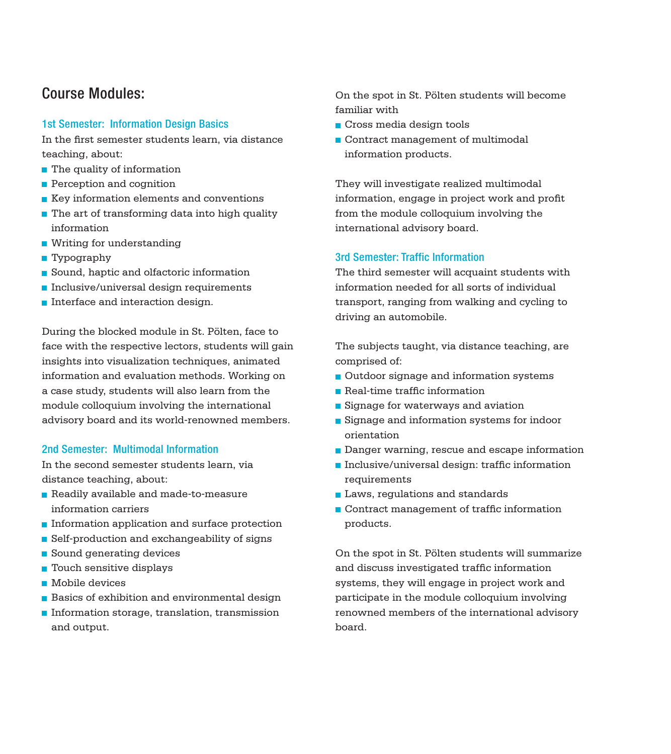#### Course Modules:

#### 1st Semester: Information Design Basics

In the first semester students learn, via distance teaching, about:

- The quality of information
- Perception and cognition
- $\blacksquare$  Key information elements and conventions
- $\blacksquare$  The art of transforming data into high quality information
- Writing for understanding
- Typography
- Sound, haptic and olfactoric information
- $\blacksquare$  Inclusive/universal design requirements
- **Interface and interaction design.**

During the blocked module in St. Pölten, face to face with the respective lectors, students will gain insights into visualization techniques, animated information and evaluation methods. Working on a case study, students will also learn from the module colloquium involving the international advisory board and its world-renowned members.

#### 2nd Semester: Multimodal Information

In the second semester students learn, via distance teaching, about:

- Readily available and made-to-measure information carriers
- Information application and surface protection
- Self-production and exchangeability of signs
- Sound generating devices
- $\blacksquare$  Touch sensitive displays
- **Mobile devices**
- Basics of exhibition and environmental design
- $\blacksquare$  Information storage, translation, transmission and output.

On the spot in St. Pölten students will become familiar with

- Cross media design tools
- Contract management of multimodal information products.

They will investigate realized multimodal information, engage in project work and profit from the module colloquium involving the international advisory board.

#### 3rd Semester: Traffic Information

The third semester will acquaint students with information needed for all sorts of individual transport, ranging from walking and cycling to driving an automobile.

The subjects taught, via distance teaching, are comprised of:

- Outdoor signage and information systems
- Real-time traffic information
- Signage for waterways and aviation
- Signage and information systems for indoor orientation
- Danger warning, rescue and escape information
- Inclusive/universal design: traffic information requirements
- **Laws, regulations and standards**
- Contract management of traffic information products.

On the spot in St. Pölten students will summarize and discuss investigated traffic information systems, they will engage in project work and participate in the module colloquium involving renowned members of the international advisory board.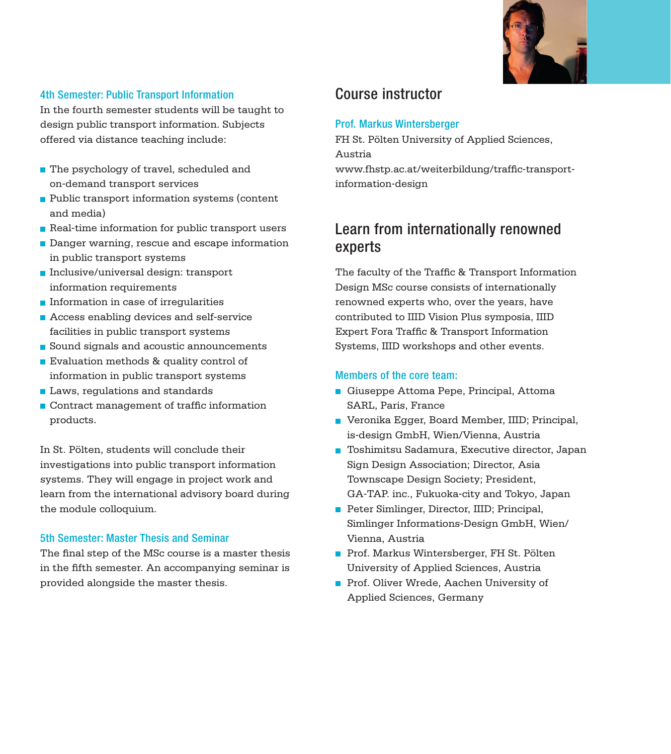

#### 4th Semester: Public Transport Information

In the fourth semester students will be taught to design public transport information. Subjects offered via distance teaching include:

- The psychology of travel, scheduled and on-demand transport services
- Public transport information systems (content and media)
- Real-time information for public transport users
- Danger warning, rescue and escape information in public transport systems
- Inclusive/universal design: transport information requirements
- $\blacksquare$  Information in case of irregularities
- **Access enabling devices and self-service** facilities in public transport systems
- Sound signals and acoustic announcements
- Evaluation methods & quality control of information in public transport systems
- Laws, regulations and standards
- Contract management of traffic information products.

In St. Pölten, students will conclude their investigations into public transport information systems. They will engage in project work and learn from the international advisory board during the module colloquium.

#### 5th Semester: Master Thesis and Seminar

The final step of the MSc course is a master thesis in the fifth semester. An accompanying seminar is provided alongside the master thesis.

## Course instructor

#### Prof. Markus Wintersberger

FH St. Pölten University of Applied Sciences, Austria

www.fhstp.ac.at/weiterbildung/traffic-transportinformation-design

## Learn from internationally renowned experts

The faculty of the Traffic & Transport Information Design MSc course consists of internationally renowned experts who, over the years, have contributed to IIID Vision Plus symposia, IIID Expert Fora Traffic & Transport Information Systems, IIID workshops and other events.

#### Members of the core team:

- Giuseppe Attoma Pepe, Principal, Attoma SARL, Paris, France
- Veronika Egger, Board Member, IIID; Principal, is-design GmbH, Wien/Vienna, Austria
- Toshimitsu Sadamura, Executive director, Japan Sign Design Association; Director, Asia Townscape Design Society; President, GA-TAP. inc., Fukuoka-city and Tokyo, Japan
- Peter Simlinger, Director, IIID; Principal, Simlinger Informations-Design GmbH, Wien/ Vienna, Austria
- Prof. Markus Wintersberger, FH St. Pölten University of Applied Sciences, Austria
- Prof. Oliver Wrede, Aachen University of Applied Sciences, Germany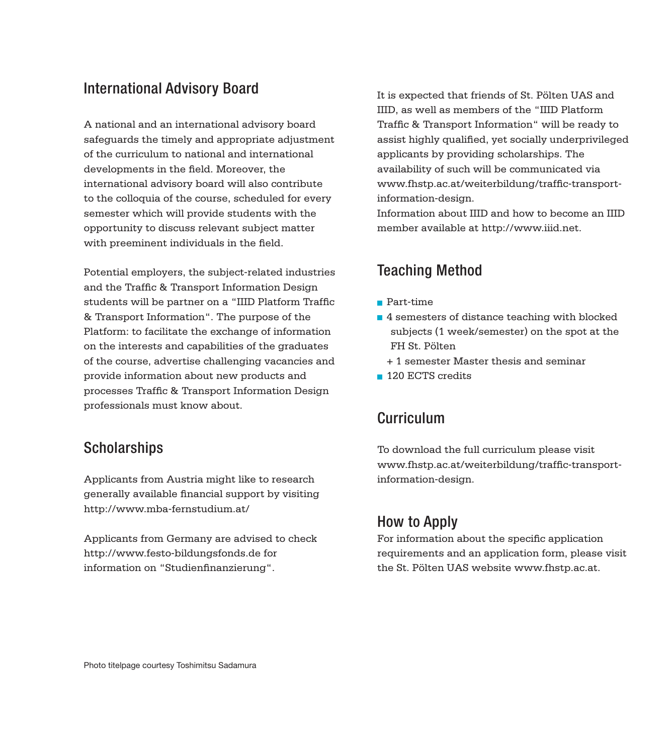#### International Advisory Board

A national and an international advisory board safeguards the timely and appropriate adjustment of the curriculum to national and international developments in the field. Moreover, the international advisory board will also contribute to the colloquia of the course, scheduled for every semester which will provide students with the opportunity to discuss relevant subject matter with preeminent individuals in the field.

Potential employers, the subject-related industries and the Traffic & Transport Information Design students will be partner on a "IIID Platform Traffic & Transport Information". The purpose of the Platform: to facilitate the exchange of information on the interests and capabilities of the graduates of the course, advertise challenging vacancies and provide information about new products and processes Traffic & Transport Information Design professionals must know about.

#### **Scholarships**

Applicants from Austria might like to research generally available financial support by visiting http://www.mba-fernstudium.at/

Applicants from Germany are advised to check http://www.festo-bildungsfonds.de for information on "Studienfinanzierung".

It is expected that friends of St. Pölten UAS and IIID, as well as members of the "IIID Platform Traffic & Transport Information" will be ready to assist highly qualified, yet socially underprivileged applicants by providing scholarships. The availability of such will be communicated via www.fhstp.ac.at/weiterbildung/traffic-transportinformation-design.

Information about IIID and how to become an IIID member available at http://www.iiid.net.

## Teaching Method

- Part-time
- 4 semesters of distance teaching with blocked subjects (1 week/semester) on the spot at the FH St. Pölten
	- + 1 semester Master thesis and seminar
- **120 ECTS credits**

## Curriculum

To download the full curriculum please visit www.fhstp.ac.at/weiterbildung/traffic-transportinformation-design.

## How to Apply

For information about the specific application requirements and an application form, please visit the St. Pölten UAS website www.fhstp.ac.at.